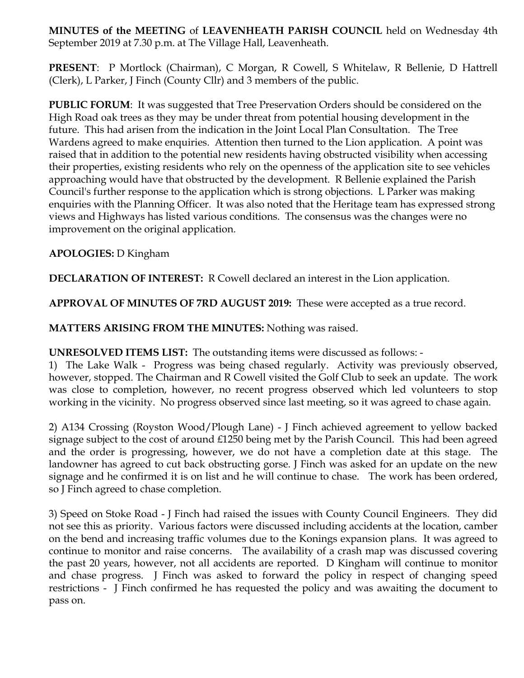**MINUTES of the MEETING** of **LEAVENHEATH PARISH COUNCIL** held on Wednesday 4th September 2019 at 7.30 p.m. at The Village Hall, Leavenheath.

**PRESENT**: P Mortlock (Chairman), C Morgan, R Cowell, S Whitelaw, R Bellenie, D Hattrell (Clerk), L Parker, J Finch (County Cllr) and 3 members of the public.

**PUBLIC FORUM**: It was suggested that Tree Preservation Orders should be considered on the High Road oak trees as they may be under threat from potential housing development in the future. This had arisen from the indication in the Joint Local Plan Consultation. The Tree Wardens agreed to make enquiries. Attention then turned to the Lion application. A point was raised that in addition to the potential new residents having obstructed visibility when accessing their properties, existing residents who rely on the openness of the application site to see vehicles approaching would have that obstructed by the development. R Bellenie explained the Parish Council's further response to the application which is strong objections. L Parker was making enquiries with the Planning Officer. It was also noted that the Heritage team has expressed strong views and Highways has listed various conditions. The consensus was the changes were no improvement on the original application.

## **APOLOGIES:** D Kingham

**DECLARATION OF INTEREST:** R Cowell declared an interest in the Lion application.

**APPROVAL OF MINUTES OF 7RD AUGUST 2019:** These were accepted as a true record.

**MATTERS ARISING FROM THE MINUTES:** Nothing was raised.

**UNRESOLVED ITEMS LIST:** The outstanding items were discussed as follows: -

1) The Lake Walk - Progress was being chased regularly. Activity was previously observed, however, stopped. The Chairman and R Cowell visited the Golf Club to seek an update. The work was close to completion, however, no recent progress observed which led volunteers to stop working in the vicinity. No progress observed since last meeting, so it was agreed to chase again.

2) A134 Crossing (Royston Wood/Plough Lane) - J Finch achieved agreement to yellow backed signage subject to the cost of around £1250 being met by the Parish Council. This had been agreed and the order is progressing, however, we do not have a completion date at this stage. The landowner has agreed to cut back obstructing gorse. J Finch was asked for an update on the new signage and he confirmed it is on list and he will continue to chase.The work has been ordered, so J Finch agreed to chase completion.

3) Speed on Stoke Road - J Finch had raised the issues with County Council Engineers. They did not see this as priority. Various factors were discussed including accidents at the location, camber on the bend and increasing traffic volumes due to the Konings expansion plans. It was agreed to continue to monitor and raise concerns. The availability of a crash map was discussed covering the past 20 years, however, not all accidents are reported. D Kingham will continue to monitor and chase progress. J Finch was asked to forward the policy in respect of changing speed restrictions - J Finch confirmed he has requested the policy and was awaiting the document to pass on.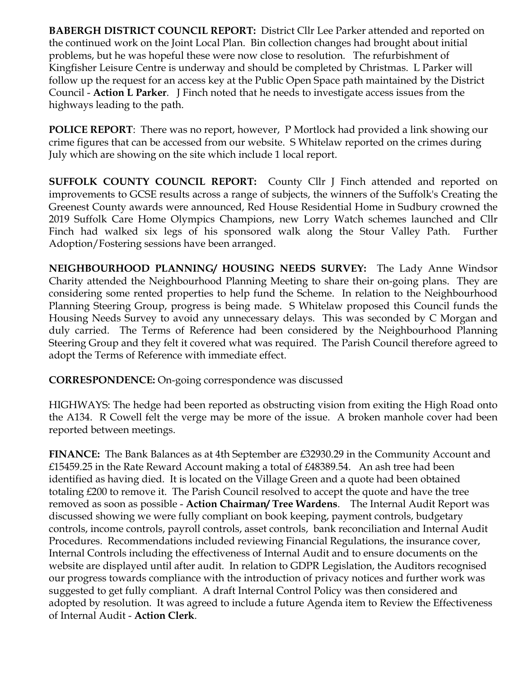**BABERGH DISTRICT COUNCIL REPORT:** District Cllr Lee Parker attended and reported on the continued work on the Joint Local Plan. Bin collection changes had brought about initial problems, but he was hopeful these were now close to resolution. The refurbishment of Kingfisher Leisure Centre is underway and should be completed by Christmas. L Parker will follow up the request for an access key at the Public Open Space path maintained by the District Council - **Action L Parker**. J Finch noted that he needs to investigate access issues from the highways leading to the path.

**POLICE REPORT**: There was no report, however, P Mortlock had provided a link showing our crime figures that can be accessed from our website. S Whitelaw reported on the crimes during July which are showing on the site which include 1 local report.

**SUFFOLK COUNTY COUNCIL REPORT:** County Cllr J Finch attended and reported on improvements to GCSE results across a range of subjects, the winners of the Suffolk's Creating the Greenest County awards were announced, Red House Residential Home in Sudbury crowned the 2019 Suffolk Care Home Olympics Champions, new Lorry Watch schemes launched and Cllr Finch had walked six legs of his sponsored walk along the Stour Valley Path. Further Adoption/Fostering sessions have been arranged.

**NEIGHBOURHOOD PLANNING/ HOUSING NEEDS SURVEY:** The Lady Anne Windsor Charity attended the Neighbourhood Planning Meeting to share their on-going plans. They are considering some rented properties to help fund the Scheme. In relation to the Neighbourhood Planning Steering Group, progress is being made. S Whitelaw proposed this Council funds the Housing Needs Survey to avoid any unnecessary delays. This was seconded by C Morgan and duly carried. The Terms of Reference had been considered by the Neighbourhood Planning Steering Group and they felt it covered what was required. The Parish Council therefore agreed to adopt the Terms of Reference with immediate effect.

**CORRESPONDENCE:** On-going correspondence was discussed

HIGHWAYS: The hedge had been reported as obstructing vision from exiting the High Road onto the A134. R Cowell felt the verge may be more of the issue. A broken manhole cover had been reported between meetings.

**FINANCE:** The Bank Balances as at 4th September are £32930.29 in the Community Account and £15459.25 in the Rate Reward Account making a total of £48389.54. An ash tree had been identified as having died. It is located on the Village Green and a quote had been obtained totaling £200 to remove it. The Parish Council resolved to accept the quote and have the tree removed as soon as possible - **Action Chairman/ Tree Wardens**. The Internal Audit Report was discussed showing we were fully compliant on book keeping, payment controls, budgetary controls, income controls, payroll controls, asset controls, bank reconciliation and Internal Audit Procedures. Recommendations included reviewing Financial Regulations, the insurance cover, Internal Controls including the effectiveness of Internal Audit and to ensure documents on the website are displayed until after audit. In relation to GDPR Legislation, the Auditors recognised our progress towards compliance with the introduction of privacy notices and further work was suggested to get fully compliant. A draft Internal Control Policy was then considered and adopted by resolution. It was agreed to include a future Agenda item to Review the Effectiveness of Internal Audit - **Action Clerk**.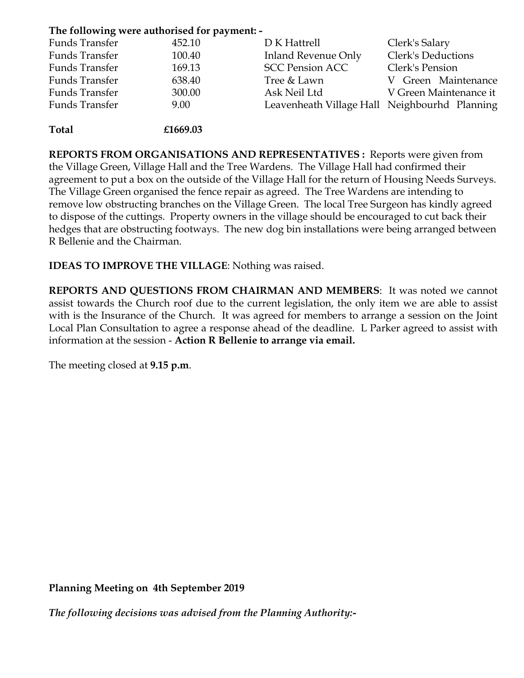## **The following were authorised for payment: -**

| Funds Transfer | 452.10   | D K Hattrell                                  | Clerk's Salary         |
|----------------|----------|-----------------------------------------------|------------------------|
| Funds Transfer | 100.40   | <b>Inland Revenue Only</b>                    | Clerk's Deductions     |
| Funds Transfer | 169.13   | <b>SCC Pension ACC</b>                        | Clerk's Pension        |
| Funds Transfer | 638.40   | Tree & Lawn                                   | V Green Maintenance    |
| Funds Transfer | 300.00   | Ask Neil Ltd                                  | V Green Maintenance it |
| Funds Transfer | 9.00     | Leavenheath Village Hall Neighbourhd Planning |                        |
|                |          |                                               |                        |
| <b>Total</b>   | £1669.03 |                                               |                        |

**REPORTS FROM ORGANISATIONS AND REPRESENTATIVES :** Reports were given from the Village Green, Village Hall and the Tree Wardens. The Village Hall had confirmed their agreement to put a box on the outside of the Village Hall for the return of Housing Needs Surveys. The Village Green organised the fence repair as agreed. The Tree Wardens are intending to remove low obstructing branches on the Village Green. The local Tree Surgeon has kindly agreed to dispose of the cuttings. Property owners in the village should be encouraged to cut back their hedges that are obstructing footways. The new dog bin installations were being arranged between R Bellenie and the Chairman.

**IDEAS TO IMPROVE THE VILLAGE**: Nothing was raised.

**REPORTS AND QUESTIONS FROM CHAIRMAN AND MEMBERS**: It was noted we cannot assist towards the Church roof due to the current legislation, the only item we are able to assist with is the Insurance of the Church. It was agreed for members to arrange a session on the Joint Local Plan Consultation to agree a response ahead of the deadline. L Parker agreed to assist with information at the session - **Action R Bellenie to arrange via email.**

The meeting closed at **9.15 p.m**.

**Planning Meeting on 4th September 2019**

*The following decisions was advised from the Planning Authority:-*